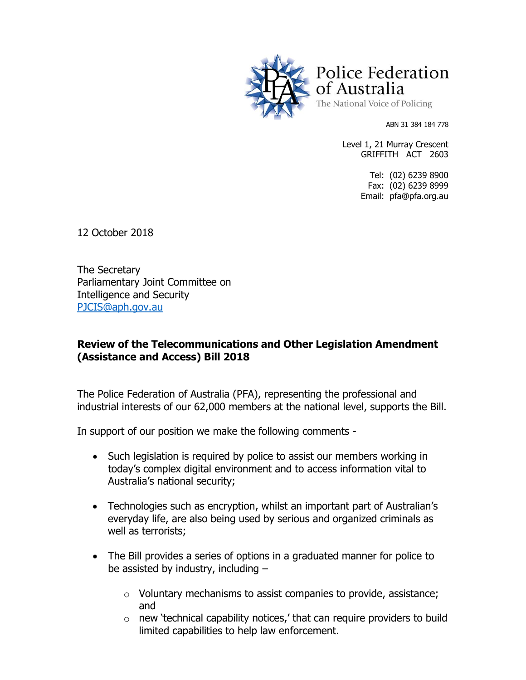

Police Federation of Australia The National Voice of Policing

ABN 31 384 184 778

Level 1, 21 Murray Crescent GRIFFITH ACT 2603

> Tel: (02) 6239 8900 Fax: (02) 6239 8999 Email: pfa@pfa.org.au

12 October 2018

The Secretary Parliamentary Joint Committee on Intelligence and Security [PJCIS@aph.gov.au](mailto:PJCIS@aph.gov.au)

## **Review of the Telecommunications and Other Legislation Amendment (Assistance and Access) Bill 2018**

The Police Federation of Australia (PFA), representing the professional and industrial interests of our 62,000 members at the national level, supports the Bill.

In support of our position we make the following comments -

- Such legislation is required by police to assist our members working in today's complex digital environment and to access information vital to Australia's national security;
- Technologies such as encryption, whilst an important part of Australian's everyday life, are also being used by serious and organized criminals as well as terrorists;
- The Bill provides a series of options in a graduated manner for police to be assisted by industry, including –
	- o Voluntary mechanisms to assist companies to provide, assistance; and
	- $\circ$  new 'technical capability notices,' that can require providers to build limited capabilities to help law enforcement.